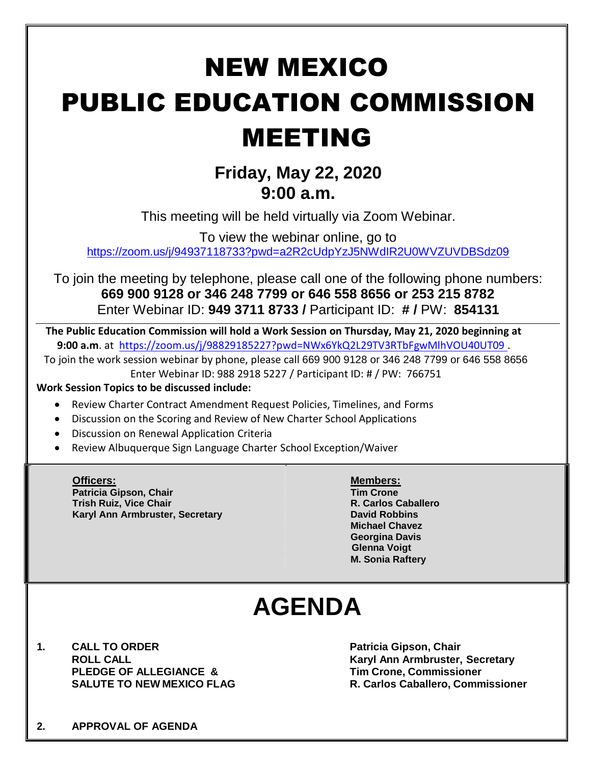# NEW MEXICO PUBLIC EDUCATION COMMISSION MEETING

### **Friday, May 22, 2020 9:00 a.m.**

This meeting will be held virtually via Zoom Webinar.

To view the webinar online, go to

<https://zoom.us/j/94937118733?pwd=a2R2cUdpYzJ5NWdIR2U0WVZUVDBSdz09>

To join the meeting by telephone, please call one of the following phone numbers: **669 900 9128 or 346 248 7799 or 646 558 8656 or 253 215 8782** Enter Webinar ID: **949 3711 8733 /** Participant ID: **# /** PW: **854131**

**The Public Education Commission will hold a Work Session on Thursday, May 21, 2020 beginning at 9:00 a.m**. at <https://zoom.us/j/98829185227?pwd=NWx6YkQ2L29TV3RTbFgwMlhVOU40UT09> .

To join the work session webinar by phone, please call 669 900 9128 or 346 248 7799 or 646 558 8656 Enter Webinar ID: 988 2918 5227 / Participant ID: # / PW: 766751

#### **Work Session Topics to be discussed include:**

- Review Charter Contract Amendment Request Policies, Timelines, and Forms
- Discussion on the Scoring and Review of New Charter School Applications
- Discussion on Renewal Application Criteria
- Review Albuquerque Sign Language Charter School Exception/Waiver

**Officers: Members: Patricia Gipson, Chair Tim Crone Trish Ruiz, Vice Chair R. Carlos Caballero Karyl Ann Armbruster, Secretary David Robbins**

**Michael Chavez Georgina Davis Glenna Voigt M. Sonia Raftery**

## **AGENDA**

**1. CALL TO ORDER Patricia Gipson, Chair PLEDGE OF ALLEGIANCE & Tim Crone, Commissioner**

**ROLL CALL Karyl Ann Armbruster, Secretary SALUTE TO NEW MEXICO FLAG R. Carlos Caballero, Commissioner**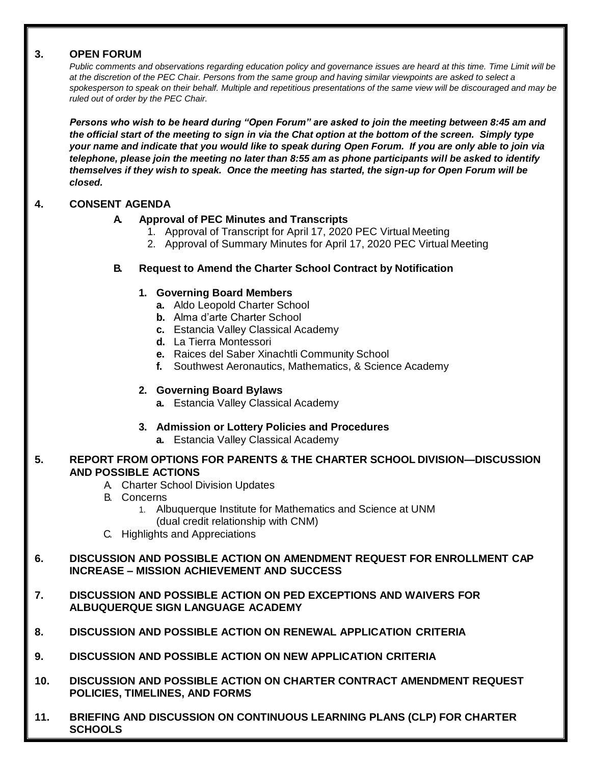#### **3. OPEN FORUM**

*Public comments and observations regarding education policy and governance issues are heard at this time. Time Limit will be at the discretion of the PEC Chair. Persons from the same group and having similar viewpoints are asked to select a spokesperson to speak on their behalf. Multiple and repetitious presentations of the same view will be discouraged and may be ruled out of order by the PEC Chair.*

*Persons who wish to be heard during "Open Forum" are asked to join the meeting between 8:45 am and the official start of the meeting to sign in via the Chat option at the bottom of the screen. Simply type your name and indicate that you would like to speak during Open Forum. If you are only able to join via telephone, please join the meeting no later than 8:55 am as phone participants will be asked to identify themselves if they wish to speak. Once the meeting has started, the sign-up for Open Forum will be closed.*

#### **4. CONSENT AGENDA**

#### **A. Approval of PEC Minutes and Transcripts**

- 1. Approval of Transcript for April 17, 2020 PEC Virtual Meeting
- 2. Approval of Summary Minutes for April 17, 2020 PEC Virtual Meeting

#### **B. Request to Amend the Charter School Contract by Notification**

#### **1. Governing Board Members**

- **a.** Aldo Leopold Charter School
- **b.** Alma d'arte Charter School
- **c.** Estancia Valley Classical Academy
- **d.** La Tierra Montessori
- **e.** Raices del Saber Xinachtli Community School
- **f.** Southwest Aeronautics, Mathematics, & Science Academy

#### **2. Governing Board Bylaws**

**a.** Estancia Valley Classical Academy

#### **3. Admission or Lottery Policies and Procedures**

**a.** Estancia Valley Classical Academy

#### **5. REPORT FROM OPTIONS FOR PARENTS & THE CHARTER SCHOOL DIVISION—DISCUSSION AND POSSIBLE ACTIONS**

- A. Charter School Division Updates
- B. Concerns
	- 1. Albuquerque Institute for Mathematics and Science at UNM (dual credit relationship with CNM)
- C. Highlights and Appreciations

#### **6. DISCUSSION AND POSSIBLE ACTION ON AMENDMENT REQUEST FOR ENROLLMENT CAP INCREASE – MISSION ACHIEVEMENT AND SUCCESS**

- **7. DISCUSSION AND POSSIBLE ACTION ON PED EXCEPTIONS AND WAIVERS FOR ALBUQUERQUE SIGN LANGUAGE ACADEMY**
- **8. DISCUSSION AND POSSIBLE ACTION ON RENEWAL APPLICATION CRITERIA**
- **9. DISCUSSION AND POSSIBLE ACTION ON NEW APPLICATION CRITERIA**
- **10. DISCUSSION AND POSSIBLE ACTION ON CHARTER CONTRACT AMENDMENT REQUEST POLICIES, TIMELINES, AND FORMS**
- **11. BRIEFING AND DISCUSSION ON CONTINUOUS LEARNING PLANS (CLP) FOR CHARTER SCHOOLS**